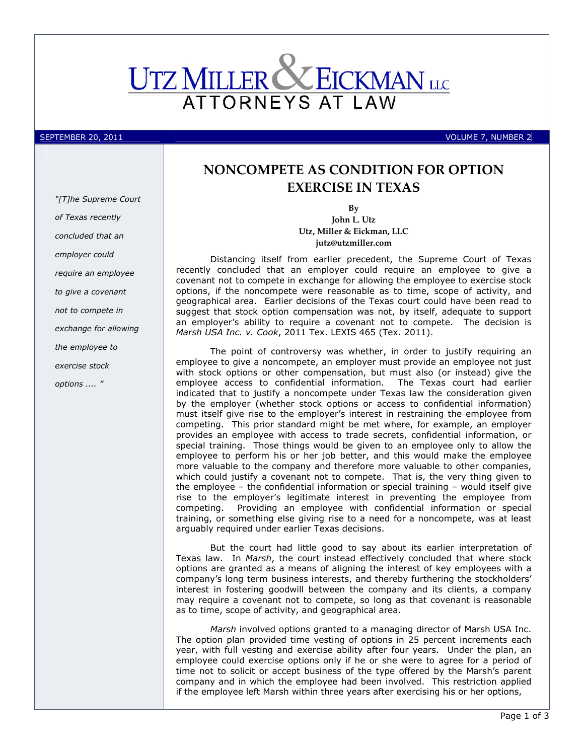

"[T]he Supreme Court of Texas recently concluded that an employer could require an employee to give a covenant not to compete in exchange for allowing the employee to exercise stock options .... "

NONCOMPETE AS CONDITION FOR OPTION EXERCISE IN TEXAS

> By John L. Utz Utz, Miller & Eickman, LLC jutz@utzmiller.com

Distancing itself from earlier precedent, the Supreme Court of Texas recently concluded that an employer could require an employee to give a covenant not to compete in exchange for allowing the employee to exercise stock options, if the noncompete were reasonable as to time, scope of activity, and geographical area. Earlier decisions of the Texas court could have been read to suggest that stock option compensation was not, by itself, adequate to support an employer's ability to require a covenant not to compete. The decision is Marsh USA Inc. v. Cook, 2011 Tex. LEXIS 465 (Tex. 2011).

The point of controversy was whether, in order to justify requiring an employee to give a noncompete, an employer must provide an employee not just with stock options or other compensation, but must also (or instead) give the employee access to confidential information. The Texas court had earlier indicated that to justify a noncompete under Texas law the consideration given by the employer (whether stock options or access to confidential information) must itself give rise to the employer's interest in restraining the employee from competing. This prior standard might be met where, for example, an employer provides an employee with access to trade secrets, confidential information, or special training. Those things would be given to an employee only to allow the employee to perform his or her job better, and this would make the employee more valuable to the company and therefore more valuable to other companies, which could justify a covenant not to compete. That is, the very thing given to the employee – the confidential information or special training – would itself give rise to the employer's legitimate interest in preventing the employee from competing. Providing an employee with confidential information or special training, or something else giving rise to a need for a noncompete, was at least arguably required under earlier Texas decisions.

But the court had little good to say about its earlier interpretation of Texas law. In Marsh, the court instead effectively concluded that where stock options are granted as a means of aligning the interest of key employees with a company's long term business interests, and thereby furthering the stockholders' interest in fostering goodwill between the company and its clients, a company may require a covenant not to compete, so long as that covenant is reasonable as to time, scope of activity, and geographical area.

Marsh involved options granted to a managing director of Marsh USA Inc. The option plan provided time vesting of options in 25 percent increments each year, with full vesting and exercise ability after four years. Under the plan, an employee could exercise options only if he or she were to agree for a period of time not to solicit or accept business of the type offered by the Marsh's parent company and in which the employee had been involved. This restriction applied if the employee left Marsh within three years after exercising his or her options,

SEPTEMBER 20, 2011 **VOLUME 7, NUMBER 2**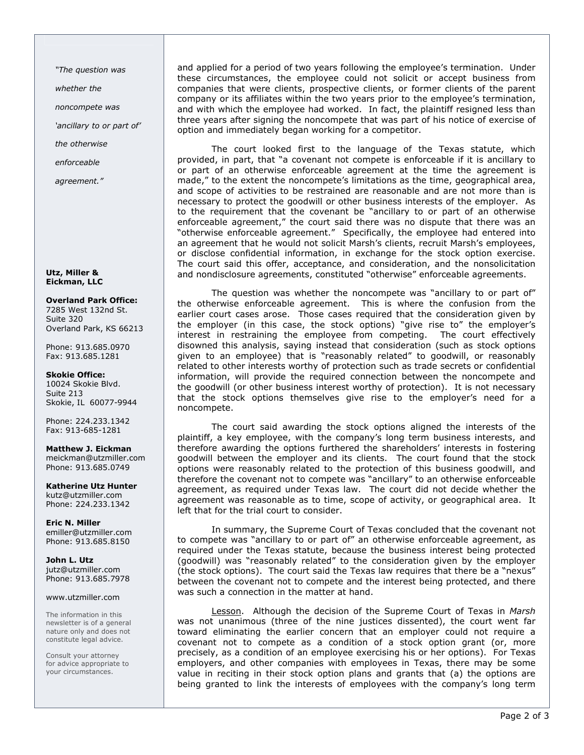"The question was

whether the

noncompete was

'ancillary to or part of'

the otherwise

enforceable

agreement."

Utz, Miller & Eickman, LLC

Overland Park Office: 7285 West 132nd St. Suite 320 Overland Park, KS 66213

Phone: 913.685.0970 Fax: 913.685.1281

Skokie Office: 10024 Skokie Blvd. Suite 213 Skokie, IL 60077-9944

Phone: 224.233.1342 Fax: 913-685-1281

Matthew J. Eickman meickman@utzmiller.com Phone: 913.685.0749

Katherine Utz Hunter kutz@utzmiller.com Phone: 224.233.1342

Eric N. Miller emiller@utzmiller.com Phone: 913.685.8150

John L. Utz jutz@utzmiller.com Phone: 913.685.7978

## www.utzmiller.com

The information in this newsletter is of a general nature only and does not constitute legal advice.

Consult your attorney for advice appropriate to your circumstances.

and applied for a period of two years following the employee's termination. Under these circumstances, the employee could not solicit or accept business from companies that were clients, prospective clients, or former clients of the parent company or its affiliates within the two years prior to the employee's termination, and with which the employee had worked. In fact, the plaintiff resigned less than three years after signing the noncompete that was part of his notice of exercise of option and immediately began working for a competitor.

The court looked first to the language of the Texas statute, which provided, in part, that "a covenant not compete is enforceable if it is ancillary to or part of an otherwise enforceable agreement at the time the agreement is made," to the extent the noncompete's limitations as the time, geographical area, and scope of activities to be restrained are reasonable and are not more than is necessary to protect the goodwill or other business interests of the employer. As to the requirement that the covenant be "ancillary to or part of an otherwise enforceable agreement," the court said there was no dispute that there was an "otherwise enforceable agreement." Specifically, the employee had entered into an agreement that he would not solicit Marsh's clients, recruit Marsh's employees, or disclose confidential information, in exchange for the stock option exercise. The court said this offer, acceptance, and consideration, and the nonsolicitation and nondisclosure agreements, constituted "otherwise" enforceable agreements.

The question was whether the noncompete was "ancillary to or part of" the otherwise enforceable agreement. This is where the confusion from the earlier court cases arose. Those cases required that the consideration given by the employer (in this case, the stock options) "give rise to" the employer's interest in restraining the employee from competing. The court effectively disowned this analysis, saying instead that consideration (such as stock options given to an employee) that is "reasonably related" to goodwill, or reasonably related to other interests worthy of protection such as trade secrets or confidential information, will provide the required connection between the noncompete and the goodwill (or other business interest worthy of protection). It is not necessary that the stock options themselves give rise to the employer's need for a noncompete.

The court said awarding the stock options aligned the interests of the plaintiff, a key employee, with the company's long term business interests, and therefore awarding the options furthered the shareholders' interests in fostering goodwill between the employer and its clients. The court found that the stock options were reasonably related to the protection of this business goodwill, and therefore the covenant not to compete was "ancillary" to an otherwise enforceable agreement, as required under Texas law. The court did not decide whether the agreement was reasonable as to time, scope of activity, or geographical area. It left that for the trial court to consider.

In summary, the Supreme Court of Texas concluded that the covenant not to compete was "ancillary to or part of" an otherwise enforceable agreement, as required under the Texas statute, because the business interest being protected (goodwill) was "reasonably related" to the consideration given by the employer (the stock options). The court said the Texas law requires that there be a "nexus" between the covenant not to compete and the interest being protected, and there was such a connection in the matter at hand.

Lesson. Although the decision of the Supreme Court of Texas in Marsh was not unanimous (three of the nine justices dissented), the court went far toward eliminating the earlier concern that an employer could not require a covenant not to compete as a condition of a stock option grant (or, more precisely, as a condition of an employee exercising his or her options). For Texas employers, and other companies with employees in Texas, there may be some value in reciting in their stock option plans and grants that (a) the options are being granted to link the interests of employees with the company's long term